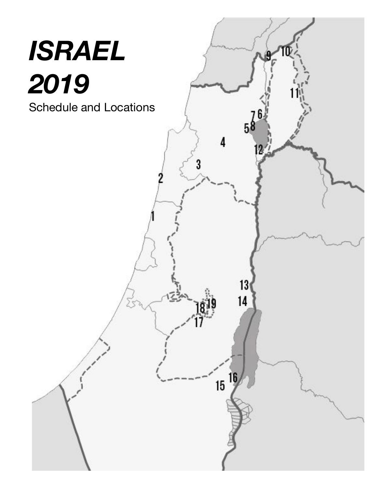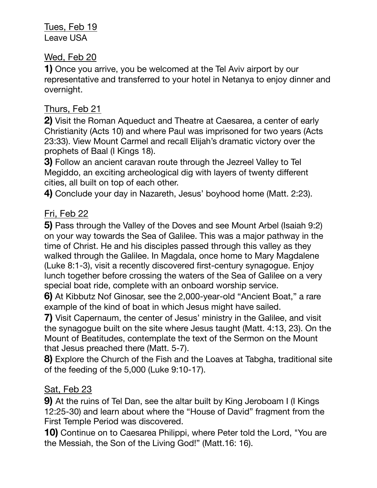Tues, Feb 19 Leave USA

#### Wed, Feb 20

**1)** Once you arrive, you be welcomed at the Tel Aviv airport by our representative and transferred to your hotel in Netanya to enjoy dinner and overnight.

## Thurs, Feb 21

**2)** Visit the Roman Aqueduct and Theatre at Caesarea, a center of early Christianity (Acts 10) and where Paul was imprisoned for two years (Acts 23:33). View Mount Carmel and recall Elijah's dramatic victory over the prophets of Baal (I Kings 18).

**3)** Follow an ancient caravan route through the Jezreel Valley to Tel Megiddo, an exciting archeological dig with layers of twenty different cities, all built on top of each other.

**4)** Conclude your day in Nazareth, Jesus' boyhood home (Matt. 2:23).

### Fri, Feb 22

**5)** Pass through the Valley of the Doves and see Mount Arbel (Isaiah 9:2) on your way towards the Sea of Galilee. This was a major pathway in the time of Christ. He and his disciples passed through this valley as they walked through the Galilee. In Magdala, once home to Mary Magdalene (Luke 8:1‐3), visit a recently discovered first‐century synagogue. Enjoy lunch together before crossing the waters of the Sea of Galilee on a very special boat ride, complete with an onboard worship service.

**6)** At Kibbutz Nof Ginosar, see the 2,000‐year‐old "Ancient Boat," a rare example of the kind of boat in which Jesus might have sailed.

**7)** Visit Capernaum, the center of Jesus' ministry in the Galilee, and visit the synagogue built on the site where Jesus taught (Matt. 4:13, 23). On the Mount of Beatitudes, contemplate the text of the Sermon on the Mount that Jesus preached there (Matt. 5‐7).

**8)** Explore the Church of the Fish and the Loaves at Tabgha, traditional site of the feeding of the 5,000 (Luke 9:10‐17).

### Sat, Feb 23

**9)** At the ruins of Tel Dan, see the altar built by King Jeroboam I (I Kings 12:25‐30) and learn about where the "House of David" fragment from the First Temple Period was discovered.

**10)** Continue on to Caesarea Philippi, where Peter told the Lord, "You are the Messiah, the Son of the Living God!" (Matt.16: 16).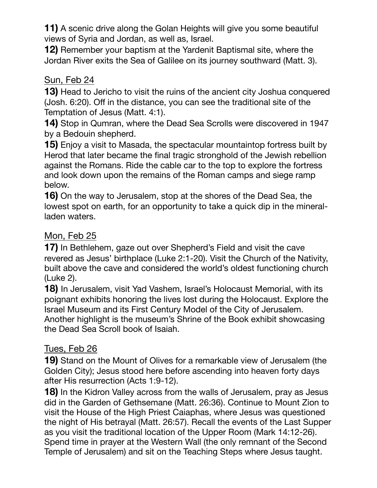**11)** A scenic drive along the Golan Heights will give you some beautiful views of Syria and Jordan, as well as, Israel.

**12)** Remember your baptism at the Yardenit Baptismal site, where the Jordan River exits the Sea of Galilee on its journey southward (Matt. 3).

#### Sun, Feb 24

**13)** Head to Jericho to visit the ruins of the ancient city Joshua conquered (Josh. 6:20). Off in the distance, you can see the traditional site of the Temptation of Jesus (Matt. 4:1).

**14)** Stop in Qumran, where the Dead Sea Scrolls were discovered in 1947 by a Bedouin shepherd.

**15)** Enjoy a visit to Masada, the spectacular mountaintop fortress built by Herod that later became the final tragic stronghold of the Jewish rebellion against the Romans. Ride the cable car to the top to explore the fortress and look down upon the remains of the Roman camps and siege ramp below.

**16)** On the way to Jerusalem, stop at the shores of the Dead Sea, the lowest spot on earth, for an opportunity to take a quick dip in the mineral‐ laden waters.

# Mon, Feb 25

**17)** In Bethlehem, gaze out over Shepherd's Field and visit the cave revered as Jesus' birthplace (Luke 2:1‐20). Visit the Church of the Nativity, built above the cave and considered the world's oldest functioning church (Luke 2).

**18)** In Jerusalem, visit Yad Vashem, Israel's Holocaust Memorial, with its poignant exhibits honoring the lives lost during the Holocaust. Explore the Israel Museum and its First Century Model of the City of Jerusalem. Another highlight is the museum's Shrine of the Book exhibit showcasing the Dead Sea Scroll book of Isaiah.

# Tues, Feb 26

**19)** Stand on the Mount of Olives for a remarkable view of Jerusalem (the Golden City); Jesus stood here before ascending into heaven forty days after His resurrection (Acts 1:9‐12).

**18)** In the Kidron Valley across from the walls of Jerusalem, pray as Jesus did in the Garden of Gethsemane (Matt. 26:36). Continue to Mount Zion to visit the House of the High Priest Caiaphas, where Jesus was questioned the night of His betrayal (Matt. 26:57). Recall the events of the Last Supper as you visit the traditional location of the Upper Room (Mark 14:12‐26). Spend time in prayer at the Western Wall (the only remnant of the Second Temple of Jerusalem) and sit on the Teaching Steps where Jesus taught.